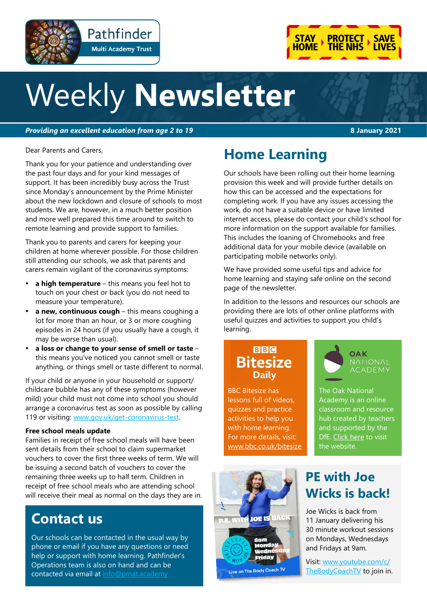

# Weekly **Newsletter**

*Providing an excellent education from age 2 to 19* **8 January 2021**

Pathfinder

**Multi Academy Trust** 

Dear Parents and Carers,

Thank you for your patience and understanding over the past four days and for your kind messages of support. It has been incredibly busy across the Trust since Monday's announcement by the Prime Minister about the new lockdown and closure of schools to most students. We are, however, in a much better position and more well prepared this time around to switch to remote learning and provide support to families.

Thank you to parents and carers for keeping your children at home wherever possible. For those children still attending our schools, we ask that parents and carers remain vigilant of the coronavirus symptoms:

- **a high temperature** this means you feel hot to touch on your chest or back (you do not need to measure your temperature).
- **a new, continuous cough** this means coughing a lot for more than an hour, or 3 or more coughing episodes in 24 hours (if you usually have a cough, it may be worse than usual).
- **a loss or change to your sense of smell or taste** this means you've noticed you cannot smell or taste anything, or things smell or taste different to normal.

If your child or anyone in your household or support/ childcare bubble has any of these symptoms (however mild) your child must not come into school you should arrange a coronavirus test as soon as possible by calling 119 or visiting: [www.gov.uk/get](https://www.gov.uk/get-coronavirus-test)-coronavirus-test.

#### **Free school meals update**

Families in receipt of free school meals will have been sent details from their school to claim supermarket vouchers to cover the first three weeks of term. We will be issuing a second batch of vouchers to cover the remaining three weeks up to half term. Children in receipt of free school meals who are attending school will receive their meal as normal on the days they are in.

## **Contact us**

Our schools can be contacted in the usual way by phone or email if you have any questions or need help or support with home learning. Pathfinder's Operations team is also on hand and can be contacted via email at [info@pmat.academy](mailto:info@pmat.academy)

# **Home Learning**

Our schools have been rolling out their home learning provision this week and will provide further details on how this can be accessed and the expectations for completing work. If you have any issues accessing the work, do not have a suitable device or have limited internet access, please do contact your child's school for more information on the support available for families. This includes the loaning of Chromebooks and free additional data for your mobile device (available on participating mobile networks only).

We have provided some useful tips and advice for home learning and staying safe online on the second page of the newsletter.

In addition to the lessons and resources our schools are providing there are lots of other online platforms with useful quizzes and activities to support you child's learning.

#### **BBC Bitesize Daily**

BBC Bitesize has lessons full of videos, quizzes and practice activities to help you with home learning. For more details, visit: [www.bbc.co.uk/bitesize](https://www.bbc.co.uk/bitesize) **OAK NATIONAL** ACADEMY

The Oak National Academy is an online classroom and resource hub created by teachers and supported by the DfE. [Click here](https://classroom.thenational.academy/) to visit the website.



### **PE with Joe Wicks is back!**

Joe Wicks is back from 11 January delivering his 30 minute workout sessions on Mondays, Wednesdays and Fridays at 9am.

Visit: [www.youtube.com/c/](https://www.youtube.com/c/TheBodyCoachTV) [TheBodyCoachTV](https://www.youtube.com/c/TheBodyCoachTV) to join in.